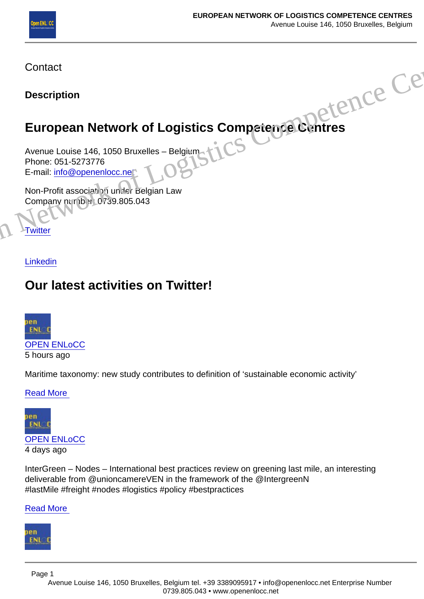**Contact** 

**Description** 

# European Network of Logistics Competence Centres

Avenue Louise 146, 1050 Bruxelles – Belgium Phone: 051-5273776 E-mail: info@openenlocc.net Co[n](https://twitter.com/OpenEnlocc)tact<br>
Description<br>
European [Ne](https://twitter.com/OpenEnlocc)twor[k](mailto:info@openenlocc.net) of Logistics Competence Centres<br>
Avenue Louise 146, 1050 Bruxelles – Belgium<br>
Phone: 051-5273776<br>
E-mail: <u>info@openenloc.net</u><br>
Non-Profit association under Belgian Law<br>
Company Hunge

**Non-Profit association under Belgian Law** Company number: 0739.805.043

**Twitter** 

Linkedin

## Our latest activities on Twitter!

[OPEN ENLoCC](//twitter.com/@OpenEnlocc)

5 hours ago

Maritime taxonomy: new study contributes to definition of 'sustainable economic activity'

[Read More](//twitter.com/OpenEnlocc/status/1389498355001266181) 

### [OPEN ENLoCC](//twitter.com/@OpenEnlocc)

4 days ago

InterGreen – Nodes – International best practices review on greening last mile, an interesting deliverable from @unioncamereVEN in the framework of the @IntergreenN #lastMile #freight #nodes #logistics #policy #bestpractices

[Read More](//twitter.com/OpenEnlocc/status/1388047974438117386) 

Page 1

Avenue Louise 146, 1050 Bruxelles, Belgium tel. +39 3389095917 • info@openenlocc.net Enterprise Number 0739.805.043 • www.openenlocc.net